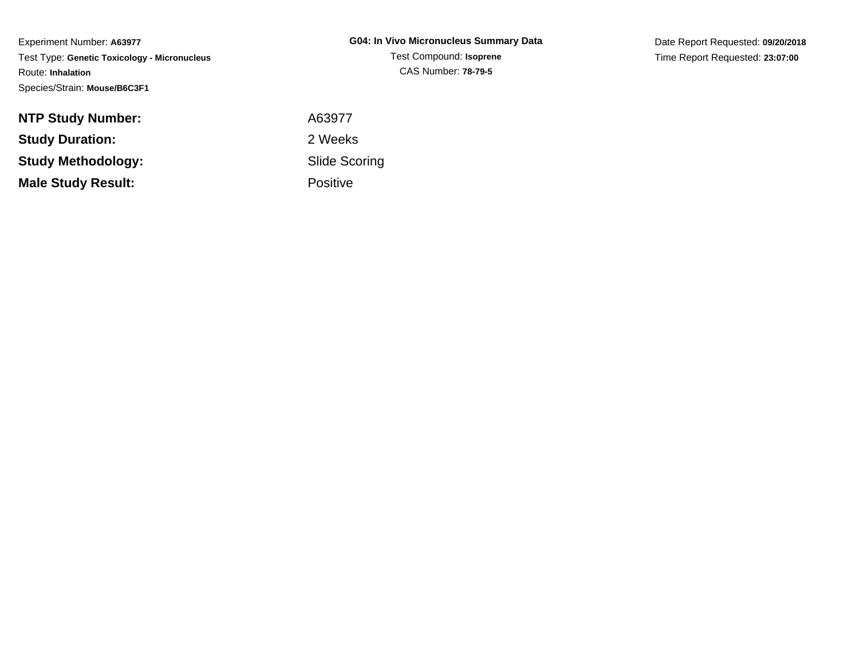Experiment Number: **A63977** Test Type: **Genetic Toxicology - Micronucleus**Route: **Inhalation**Species/Strain: **Mouse/B6C3F1**

Date Report Requested: **09/20/2018**Time Report Requested: **23:07:00**

| <b>NTP Study Number:</b>  | A63977          |
|---------------------------|-----------------|
| <b>Study Duration:</b>    | 2 Weeks         |
| Study Methodology:        | Slide Sco       |
| <b>Male Study Result:</b> | <b>Positive</b> |
|                           |                 |

 Slide ScoringPositive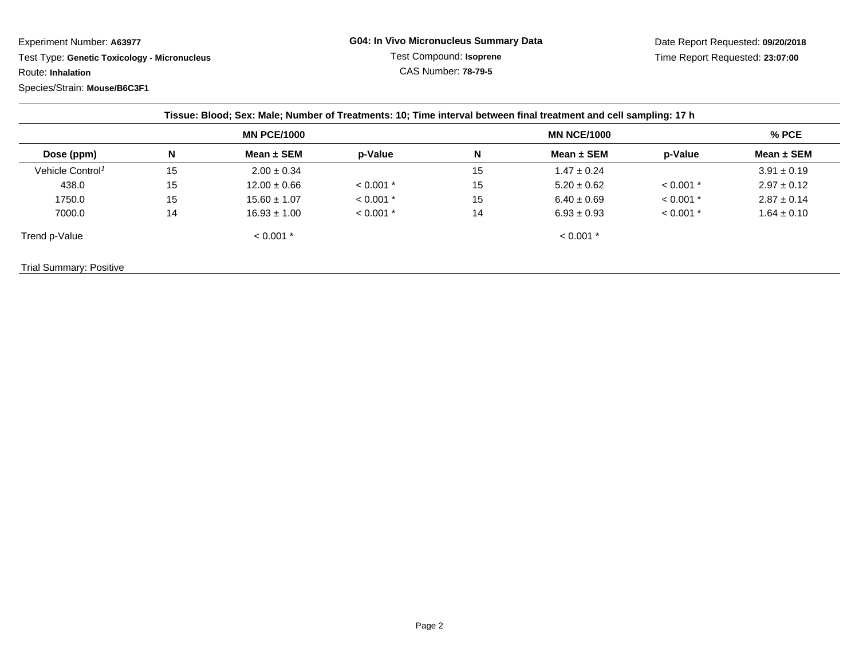Experiment Number: **A63977**

 Test Type: **Genetic Toxicology - Micronucleus**Route: **Inhalation**

Species/Strain: **Mouse/B6C3F1**

| Dose (ppm)                   | <b>MN PCE/1000</b> |                  |             | <b>MN NCE/1000</b> |                 |             | $%$ PCE         |
|------------------------------|--------------------|------------------|-------------|--------------------|-----------------|-------------|-----------------|
|                              | N                  | Mean $\pm$ SEM   | p-Value     | N                  | Mean $\pm$ SEM  | p-Value     | Mean $\pm$ SEM  |
| Vehicle Control <sup>1</sup> | 15                 | $2.00 \pm 0.34$  |             | 15                 | $1.47 \pm 0.24$ |             | $3.91 \pm 0.19$ |
| 438.0                        | 15                 | $12.00 \pm 0.66$ | $< 0.001$ * | 15                 | $5.20 \pm 0.62$ | $< 0.001$ * | $2.97 \pm 0.12$ |
| 1750.0                       | 15                 | $15.60 \pm 1.07$ | $< 0.001$ * | 15                 | $6.40 \pm 0.69$ | $< 0.001$ * | $2.87 \pm 0.14$ |
| 7000.0                       | 14                 | $16.93 \pm 1.00$ | $< 0.001$ * | 14                 | $6.93 \pm 0.93$ | $< 0.001$ * | $1.64 \pm 0.10$ |
| Trend p-Value                |                    | $< 0.001$ *      |             |                    | $< 0.001$ *     |             |                 |

Trial Summary: Positive